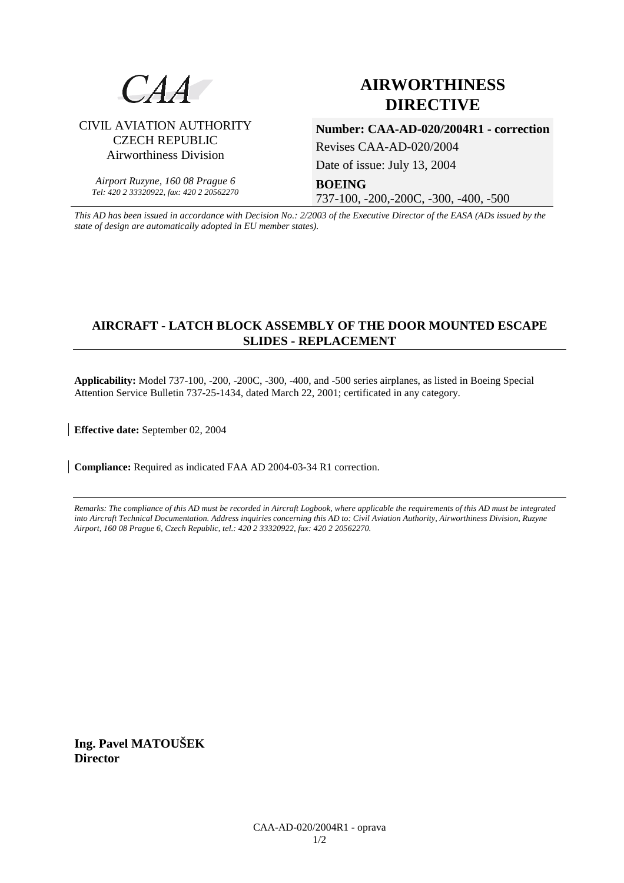

# **AIRWORTHINESS DIRECTIVE**

CIVIL AVIATION AUTHORITY CZECH REPUBLIC Airworthiness Division

*Airport Ruzyne, 160 08 Prague 6 Tel: 420 2 33320922, fax: 420 2 20562270*

**Number: CAA-AD-020/2004R1 - correction**  Revises CAA-AD-020/2004

Date of issue: July 13, 2004

**BOEING** 

737-100, -200,-200C, -300, -400, -500

*This AD has been issued in accordance with Decision No.: 2/2003 of the Executive Director of the EASA (ADs issued by the state of design are automatically adopted in EU member states).*

## **AIRCRAFT - LATCH BLOCK ASSEMBLY OF THE DOOR MOUNTED ESCAPE SLIDES - REPLACEMENT**

**Applicability:** Model 737-100, -200, -200C, -300, -400, and -500 series airplanes, as listed in Boeing Special Attention Service Bulletin 737-25-1434, dated March 22, 2001; certificated in any category.

**Effective date:** September 02, 2004

**Compliance:** Required as indicated FAA AD 2004-03-34 R1 correction.

*Remarks: The compliance of this AD must be recorded in Aircraft Logbook, where applicable the requirements of this AD must be integrated into Aircraft Technical Documentation. Address inquiries concerning this AD to: Civil Aviation Authority, Airworthiness Division, Ruzyne Airport, 160 08 Prague 6, Czech Republic, tel.: 420 2 33320922, fax: 420 2 20562270.* 

**Ing. Pavel MATOUŠEK Director**